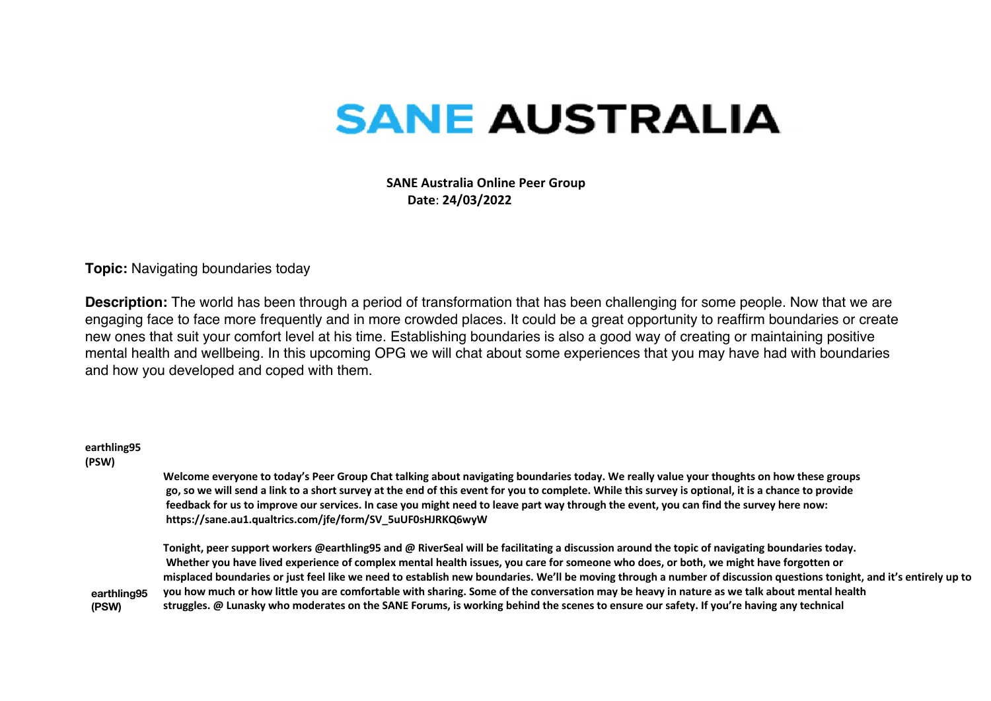## **SANE AUSTRALIA**

 **SANE Australia Online Peer Group Date**: **24/03/2022**

**Topic:** Navigating boundaries today

**Description:** The world has been through a period of transformation that has been challenging for some people. Now that we are engaging face to face more frequently and in more crowded places. It could be a great opportunity to reaffirm boundaries or create new ones that suit your comfort level at his time. Establishing boundaries is also a good way of creating or maintaining positive mental health and wellbeing. In this upcoming OPG we will chat about some experiences that you may have had with boundaries and how you developed and coped with them.

## **earthling95**

## **(PSW)**

**Welcome everyone to today's Peer Group Chat talking about navigating boundaries today. We really value your thoughts on how these groups go, so we will send a link to a short survey at the end of this event for you to complete. While this survey is optional, it is a chance to provide feedback for us to improve our services. In case you might need to leave part way through the event, you can find the survey here now: https://sane.au1.qualtrics.com/jfe/form/SV\_5uUF0sHJRKQ6wyW**

**earthling95 (PSW) Tonight, peer support workers @earthling95 and @ RiverSeal will be facilitating a discussion around the topic of navigating boundaries today. Whether you have lived experience of complex mental health issues, you care for someone who does, or both, we might have forgotten or misplaced boundaries or just feel like we need to establish new boundaries. We'll be moving through a number of discussion questions tonight, and it's entirely up to you how much or how little you are comfortable with sharing. Some of the conversation may be heavy in nature as we talk about mental health struggles. @ Lunasky who moderates on the SANE Forums, is working behind the scenes to ensure our safety. If you're having any technical**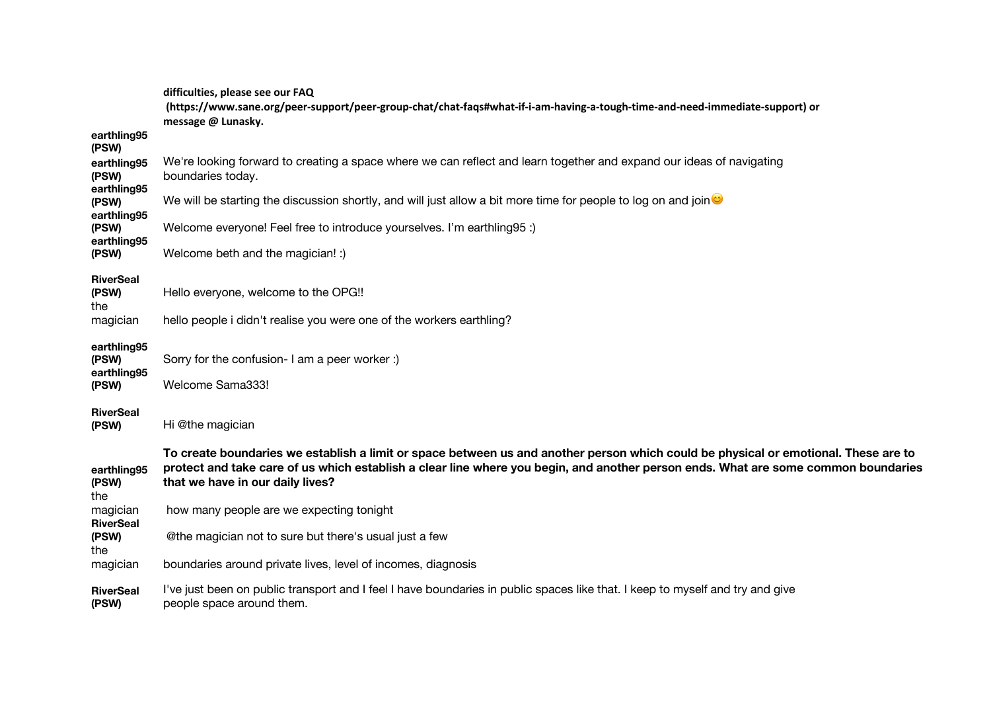|                                     | difficulties, please see our FAQ<br>(https://www.sane.org/peer-support/peer-group-chat/chat-faqs#what-if-i-am-having-a-tough-time-and-need-immediate-support) or<br>message @ Lunasky.                                                                                                                        |
|-------------------------------------|---------------------------------------------------------------------------------------------------------------------------------------------------------------------------------------------------------------------------------------------------------------------------------------------------------------|
| earthling95<br>(PSW)                |                                                                                                                                                                                                                                                                                                               |
| earthling95<br>(PSW)                | We're looking forward to creating a space where we can reflect and learn together and expand our ideas of navigating<br>boundaries today.                                                                                                                                                                     |
| earthling95<br>(PSW)<br>earthling95 | We will be starting the discussion shortly, and will just allow a bit more time for people to log on and join $\bullet$                                                                                                                                                                                       |
| (PSW)                               | Welcome everyone! Feel free to introduce yourselves. I'm earthling 95 :)                                                                                                                                                                                                                                      |
| earthling95<br>(PSW)                | Welcome beth and the magician! :)                                                                                                                                                                                                                                                                             |
| <b>RiverSeal</b><br>(PSW)<br>the    | Hello everyone, welcome to the OPG!!                                                                                                                                                                                                                                                                          |
| magician                            | hello people i didn't realise you were one of the workers earthling?                                                                                                                                                                                                                                          |
| earthling95<br>(PSW)<br>earthling95 | Sorry for the confusion- I am a peer worker :)                                                                                                                                                                                                                                                                |
| (PSW)                               | Welcome Sama333!                                                                                                                                                                                                                                                                                              |
| <b>RiverSeal</b><br>(PSW)           | Hi @the magician                                                                                                                                                                                                                                                                                              |
| earthling95<br>(PSW)<br>the         | To create boundaries we establish a limit or space between us and another person which could be physical or emotional. These are to<br>protect and take care of us which establish a clear line where you begin, and another person ends. What are some common boundaries<br>that we have in our daily lives? |
| magician                            | how many people are we expecting tonight                                                                                                                                                                                                                                                                      |
| <b>RiverSeal</b><br>(PSW)<br>the    | @the magician not to sure but there's usual just a few                                                                                                                                                                                                                                                        |
| magician                            | boundaries around private lives, level of incomes, diagnosis                                                                                                                                                                                                                                                  |
| <b>RiverSeal</b><br>(PSW)           | I've just been on public transport and I feel I have boundaries in public spaces like that. I keep to myself and try and give<br>people space around them.                                                                                                                                                    |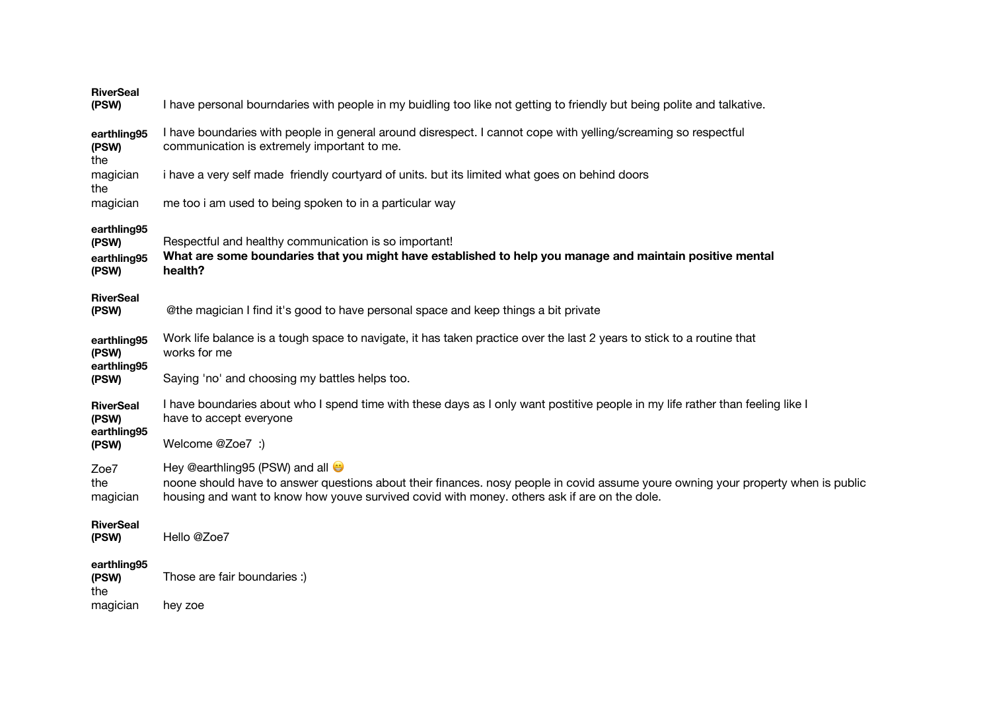| <b>RiverSeal</b><br>(PSW)                    | I have personal bourndaries with people in my buidling too like not getting to friendly but being polite and talkative.                                                                                                                                                       |
|----------------------------------------------|-------------------------------------------------------------------------------------------------------------------------------------------------------------------------------------------------------------------------------------------------------------------------------|
| earthling95<br>(PSW)<br>the                  | I have boundaries with people in general around disrespect. I cannot cope with yelling/screaming so respectful<br>communication is extremely important to me.                                                                                                                 |
| magician<br>the                              | i have a very self made friendly courtyard of units. but its limited what goes on behind doors                                                                                                                                                                                |
| magician                                     | me too i am used to being spoken to in a particular way                                                                                                                                                                                                                       |
| earthling95<br>(PSW)<br>earthling95<br>(PSW) | Respectful and healthy communication is so important!<br>What are some boundaries that you might have established to help you manage and maintain positive mental<br>health?                                                                                                  |
| <b>RiverSeal</b><br>(PSW)                    | @the magician I find it's good to have personal space and keep things a bit private                                                                                                                                                                                           |
| earthling95<br>(PSW)                         | Work life balance is a tough space to navigate, it has taken practice over the last 2 years to stick to a routine that<br>works for me                                                                                                                                        |
| earthling95<br>(PSW)                         | Saying 'no' and choosing my battles helps too.                                                                                                                                                                                                                                |
| <b>RiverSeal</b><br>(PSW)                    | I have boundaries about who I spend time with these days as I only want postitive people in my life rather than feeling like I<br>have to accept everyone                                                                                                                     |
| earthling95<br>(PSW)                         | Welcome @Zoe7 :)                                                                                                                                                                                                                                                              |
| Zoe7<br>the<br>magician                      | Hey @earthling95 (PSW) and all $\bullet$<br>noone should have to answer questions about their finances. nosy people in covid assume youre owning your property when is public<br>housing and want to know how youve survived covid with money, others ask if are on the dole. |
| <b>RiverSeal</b><br>(PSW)                    | Hello @Zoe7                                                                                                                                                                                                                                                                   |
| earthling95<br>(PSW)<br>the                  | Those are fair boundaries :)                                                                                                                                                                                                                                                  |
| magician                                     | hey zoe                                                                                                                                                                                                                                                                       |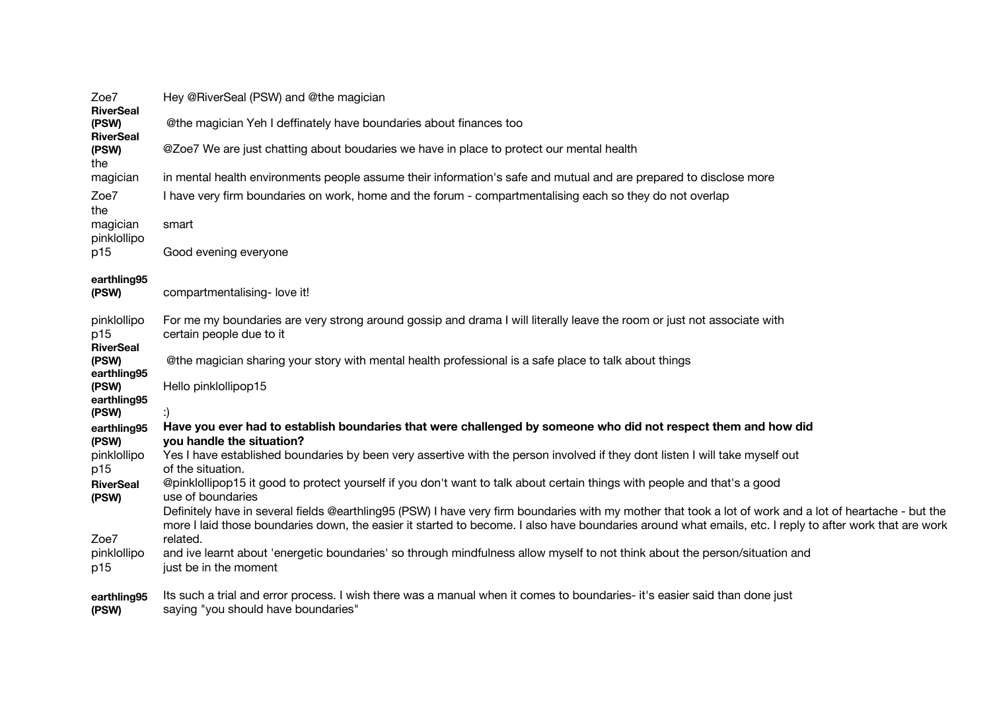| Zoe7<br><b>RiverSeal</b>                 | Hey @RiverSeal (PSW) and @the magician                                                                                                                                                                                                                                                                              |
|------------------------------------------|---------------------------------------------------------------------------------------------------------------------------------------------------------------------------------------------------------------------------------------------------------------------------------------------------------------------|
| (PSW)                                    | @the magician Yeh I deffinately have boundaries about finances too                                                                                                                                                                                                                                                  |
| <b>RiverSeal</b><br>(PSW)<br>the         | @Zoe7 We are just chatting about boudaries we have in place to protect our mental health                                                                                                                                                                                                                            |
| magician                                 | in mental health environments people assume their information's safe and mutual and are prepared to disclose more                                                                                                                                                                                                   |
| Zoe7<br>the                              | I have very firm boundaries on work, home and the forum - compartmentalising each so they do not overlap                                                                                                                                                                                                            |
| magician<br>pinklollipo                  | smart                                                                                                                                                                                                                                                                                                               |
| p15                                      | Good evening everyone                                                                                                                                                                                                                                                                                               |
| earthling95<br>(PSW)                     | compartmentalising- love it!                                                                                                                                                                                                                                                                                        |
| pinklollipo<br>p15                       | For me my boundaries are very strong around gossip and drama I will literally leave the room or just not associate with<br>certain people due to it                                                                                                                                                                 |
| <b>RiverSeal</b><br>(PSW)<br>earthling95 | @the magician sharing your story with mental health professional is a safe place to talk about things                                                                                                                                                                                                               |
| (PSW)<br>earthling95                     | Hello pinklollipop15                                                                                                                                                                                                                                                                                                |
| (PSW)                                    |                                                                                                                                                                                                                                                                                                                     |
| earthling95<br>(PSW)                     | Have you ever had to establish boundaries that were challenged by someone who did not respect them and how did<br>you handle the situation?                                                                                                                                                                         |
| pinklollipo<br>p15                       | Yes I have established boundaries by been very assertive with the person involved if they dont listen I will take myself out<br>of the situation.                                                                                                                                                                   |
| <b>RiverSeal</b><br>(PSW)                | @pinklollipop15 it good to protect yourself if you don't want to talk about certain things with people and that's a good<br>use of boundaries                                                                                                                                                                       |
|                                          | Definitely have in several fields @earthling95 (PSW) I have very firm boundaries with my mother that took a lot of work and a lot of heartache - but the<br>more I laid those boundaries down, the easier it started to become. I also have boundaries around what emails, etc. I reply to after work that are work |
| Zoe7                                     | related.                                                                                                                                                                                                                                                                                                            |
| pinklollipo<br>p15                       | and ive learnt about 'energetic boundaries' so through mindfulness allow myself to not think about the person/situation and<br>just be in the moment                                                                                                                                                                |
| earthling95<br>(PSW)                     | Its such a trial and error process. I wish there was a manual when it comes to boundaries- it's easier said than done just<br>saying "you should have boundaries"                                                                                                                                                   |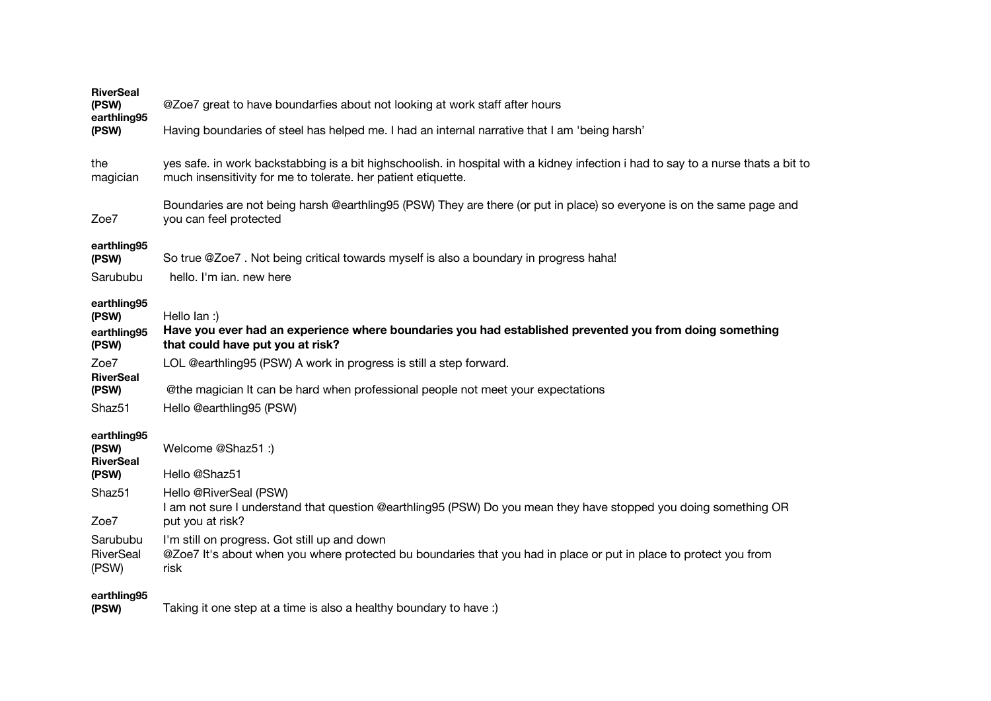| <b>RiverSeal</b><br>(PSW)<br>earthling95<br>(PSW) | @Zoe7 great to have boundarfies about not looking at work staff after hours<br>Having boundaries of steel has helped me. I had an internal narrative that I am 'being harsh'                       |
|---------------------------------------------------|----------------------------------------------------------------------------------------------------------------------------------------------------------------------------------------------------|
| the<br>magician                                   | yes safe. in work backstabbing is a bit highschoolish. in hospital with a kidney infection i had to say to a nurse thats a bit to<br>much insensitivity for me to tolerate. her patient etiquette. |
| Zoe7                                              | Boundaries are not being harsh @earthling95 (PSW) They are there (or put in place) so everyone is on the same page and<br>you can feel protected                                                   |
| earthling95<br>(PSW)<br>Sarububu                  | So true @Zoe7. Not being critical towards myself is also a boundary in progress haha!<br>hello. I'm ian, new here                                                                                  |
| earthling95<br>(PSW)<br>earthling95<br>(PSW)      | Hello lan :)<br>Have you ever had an experience where boundaries you had established prevented you from doing something<br>that could have put you at risk?                                        |
| Zoe7<br><b>RiverSeal</b><br>(PSW)                 | LOL @earthling95 (PSW) A work in progress is still a step forward.<br>@the magician It can be hard when professional people not meet your expectations                                             |
| Shaz <sub>51</sub>                                | Hello @earthling95 (PSW)                                                                                                                                                                           |
| earthling95<br>(PSW)<br><b>RiverSeal</b>          | Welcome @Shaz51:)<br>Hello @Shaz51                                                                                                                                                                 |
| (PSW)<br>Shaz <sub>51</sub><br>Zoe7               | Hello @RiverSeal (PSW)<br>I am not sure I understand that question @earthling95 (PSW) Do you mean they have stopped you doing something OR<br>put you at risk?                                     |
| Sarububu<br>RiverSeal<br>(PSW)                    | I'm still on progress. Got still up and down<br>@Zoe7 It's about when you where protected bu boundaries that you had in place or put in place to protect you from<br>risk                          |
| earthling95<br>(PSW)                              | Taking it one step at a time is also a healthy boundary to have:)                                                                                                                                  |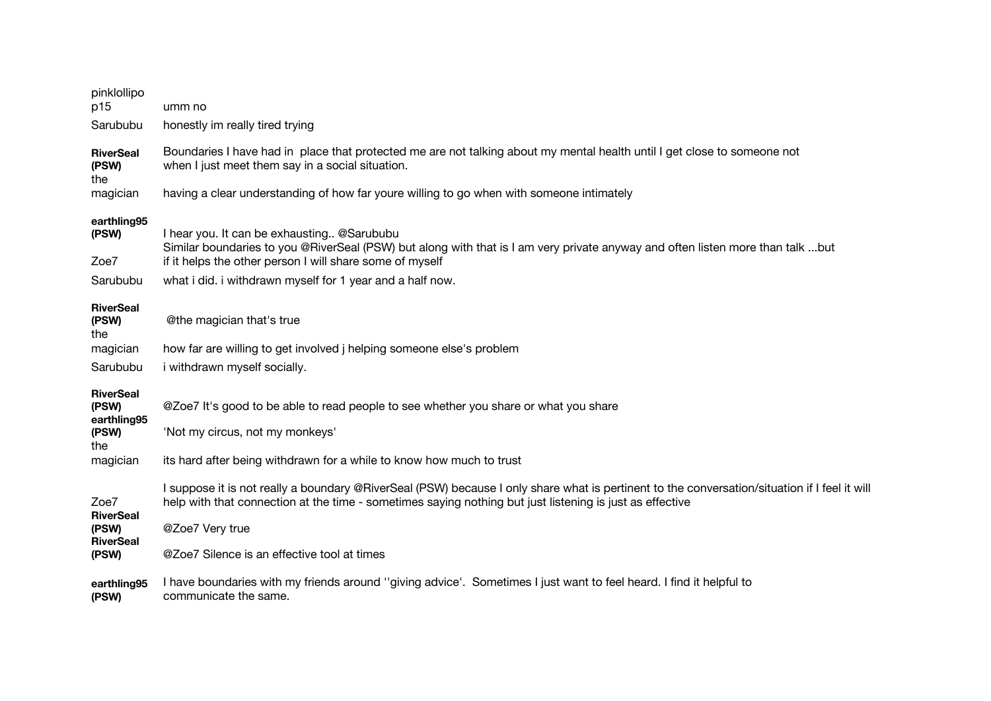| pinklollipo<br>p15                                                   | umm no                                                                                                                                                                                                                                                                                                                      |
|----------------------------------------------------------------------|-----------------------------------------------------------------------------------------------------------------------------------------------------------------------------------------------------------------------------------------------------------------------------------------------------------------------------|
| Sarububu                                                             | honestly im really tired trying                                                                                                                                                                                                                                                                                             |
| <b>RiverSeal</b><br>(PSW)<br>the                                     | Boundaries I have had in place that protected me are not talking about my mental health until I get close to someone not<br>when I just meet them say in a social situation.                                                                                                                                                |
| magician                                                             | having a clear understanding of how far youre willing to go when with someone intimately                                                                                                                                                                                                                                    |
| earthling95<br>(PSW)<br>Zoe7                                         | I hear you. It can be exhausting @Sarububu<br>Similar boundaries to you @RiverSeal (PSW) but along with that is I am very private anyway and often listen more than talk but<br>if it helps the other person I will share some of myself                                                                                    |
| Sarububu                                                             | what i did. i withdrawn myself for 1 year and a half now.                                                                                                                                                                                                                                                                   |
| <b>RiverSeal</b><br>(PSW)<br>the<br>magician                         | @the magician that's true<br>how far are willing to get involved j helping someone else's problem                                                                                                                                                                                                                           |
| Sarububu                                                             | i withdrawn myself socially.                                                                                                                                                                                                                                                                                                |
| <b>RiverSeal</b><br>(PSW)<br>earthling95<br>(PSW)<br>the<br>magician | @Zoe7 It's good to be able to read people to see whether you share or what you share<br>'Not my circus, not my monkeys'<br>its hard after being withdrawn for a while to know how much to trust                                                                                                                             |
| Zoe7<br><b>RiverSeal</b><br>(PSW)<br><b>RiverSeal</b><br>(PSW)       | I suppose it is not really a boundary @RiverSeal (PSW) because I only share what is pertinent to the conversation/situation if I feel it will<br>help with that connection at the time - sometimes saying nothing but just listening is just as effective<br>@Zoe7 Very true<br>@Zoe7 Silence is an effective tool at times |
| earthling95<br>(PSW)                                                 | I have boundaries with my friends around "giving advice". Sometimes I just want to feel heard. I find it helpful to<br>communicate the same.                                                                                                                                                                                |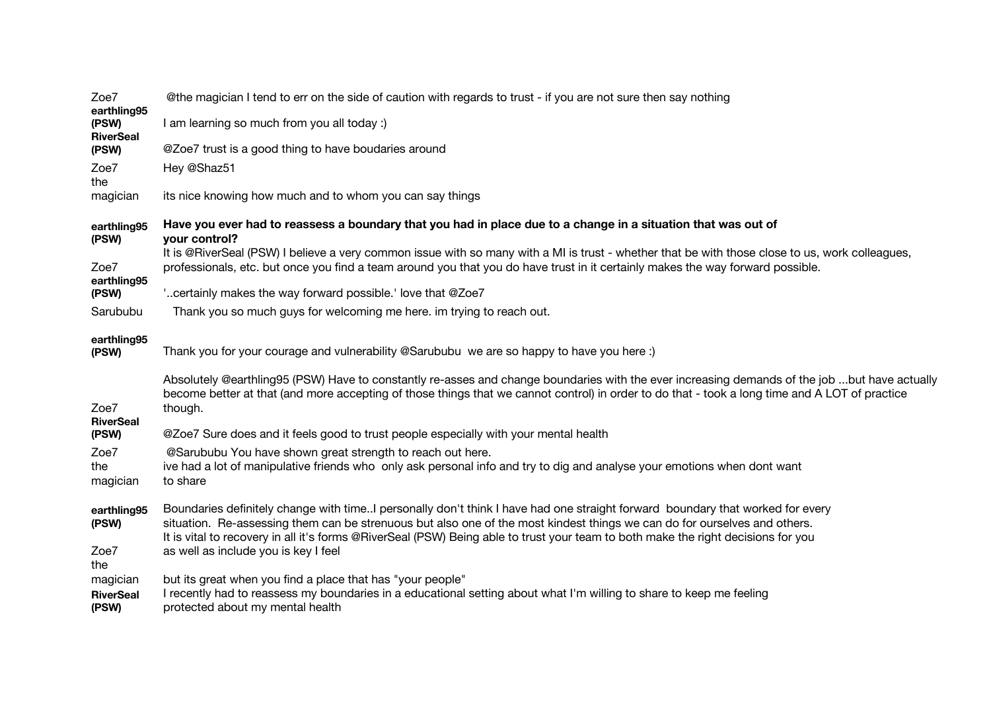| Zoe7<br>earthling95                   | @the magician I tend to err on the side of caution with regards to trust - if you are not sure then say nothing                                                                                                                                                                                                                                                                                 |
|---------------------------------------|-------------------------------------------------------------------------------------------------------------------------------------------------------------------------------------------------------------------------------------------------------------------------------------------------------------------------------------------------------------------------------------------------|
| (PSW)<br><b>RiverSeal</b>             | I am learning so much from you all today :)                                                                                                                                                                                                                                                                                                                                                     |
| (PSW)                                 | @Zoe7 trust is a good thing to have boudaries around                                                                                                                                                                                                                                                                                                                                            |
| Zoe7<br>the                           | Hey @Shaz51                                                                                                                                                                                                                                                                                                                                                                                     |
| magician                              | its nice knowing how much and to whom you can say things                                                                                                                                                                                                                                                                                                                                        |
| earthling95<br>(PSW)                  | Have you ever had to reassess a boundary that you had in place due to a change in a situation that was out of<br>your control?                                                                                                                                                                                                                                                                  |
| Zoe7<br>earthling95                   | It is @RiverSeal (PSW) I believe a very common issue with so many with a MI is trust - whether that be with those close to us, work colleagues,<br>professionals, etc. but once you find a team around you that you do have trust in it certainly makes the way forward possible.                                                                                                               |
| (PSW)                                 | " certainly makes the way forward possible." love that @Zoe7                                                                                                                                                                                                                                                                                                                                    |
| Sarububu                              | Thank you so much guys for welcoming me here. im trying to reach out.                                                                                                                                                                                                                                                                                                                           |
| earthling95<br>(PSW)                  | Thank you for your courage and vulnerability @Sarububu we are so happy to have you here :)                                                                                                                                                                                                                                                                                                      |
| Zoe7<br><b>RiverSeal</b>              | Absolutely @earthling95 (PSW) Have to constantly re-asses and change boundaries with the ever increasing demands of the job but have actually<br>become better at that (and more accepting of those things that we cannot control) in order to do that - took a long time and A LOT of practice<br>though.                                                                                      |
| (PSW)                                 | @Zoe7 Sure does and it feels good to trust people especially with your mental health                                                                                                                                                                                                                                                                                                            |
| Zoe7<br>the<br>magician               | @Sarububu You have shown great strength to reach out here.<br>ive had a lot of manipulative friends who only ask personal info and try to dig and analyse your emotions when dont want<br>to share                                                                                                                                                                                              |
| earthling95<br>(PSW)                  | Boundaries definitely change with timeI personally don't think I have had one straight forward boundary that worked for every<br>situation. Re-assessing them can be strenuous but also one of the most kindest things we can do for ourselves and others.<br>It is vital to recovery in all it's forms @RiverSeal (PSW) Being able to trust your team to both make the right decisions for you |
| Zoe7<br>the                           | as well as include you is key I feel                                                                                                                                                                                                                                                                                                                                                            |
| magician<br><b>RiverSeal</b><br>(PSW) | but its great when you find a place that has "your people"<br>I recently had to reassess my boundaries in a educational setting about what I'm willing to share to keep me feeling<br>protected about my mental health                                                                                                                                                                          |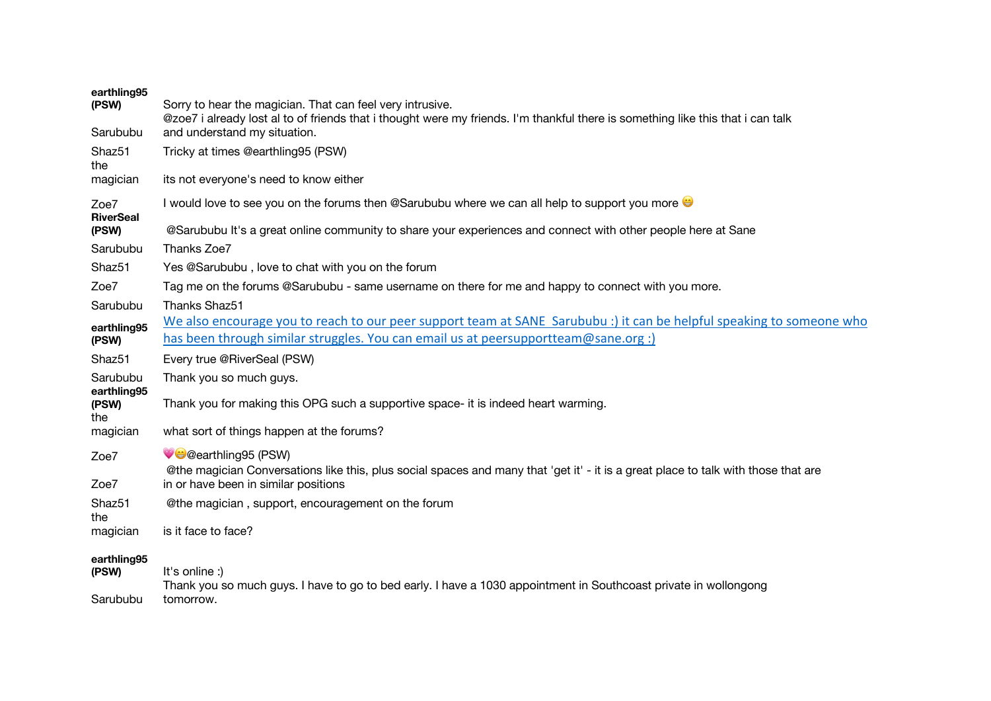| earthling95                 |                                                                                                                                                                 |
|-----------------------------|-----------------------------------------------------------------------------------------------------------------------------------------------------------------|
| (PSW)                       | Sorry to hear the magician. That can feel very intrusive.                                                                                                       |
| Sarububu                    | @zoe7 i already lost al to of friends that i thought were my friends. I'm thankful there is something like this that i can talk<br>and understand my situation. |
| Shaz <sub>51</sub>          | Tricky at times @earthling95 (PSW)                                                                                                                              |
| the                         |                                                                                                                                                                 |
| magician                    | its not everyone's need to know either                                                                                                                          |
| Zoe7<br><b>RiverSeal</b>    | I would love to see you on the forums then @Sarububu where we can all help to support you more                                                                  |
| (PSW)                       | @Sarububu It's a great online community to share your experiences and connect with other people here at Sane                                                    |
| Sarububu                    | Thanks Zoe7                                                                                                                                                     |
| Shaz <sub>51</sub>          | Yes @Sarububu, love to chat with you on the forum                                                                                                               |
| Zoe7                        | Tag me on the forums @Sarububu - same username on there for me and happy to connect with you more.                                                              |
| Sarububu                    | <b>Thanks Shaz51</b>                                                                                                                                            |
| earthling95                 | We also encourage you to reach to our peer support team at SANE Sarububu :) it can be helpful speaking to someone who                                           |
| (PSW)                       | has been through similar struggles. You can email us at peersupportteam@sane.org :)                                                                             |
| Shaz51                      | Every true @RiverSeal (PSW)                                                                                                                                     |
| Sarububu                    | Thank you so much guys.                                                                                                                                         |
| earthling95<br>(PSW)<br>the | Thank you for making this OPG such a supportive space- it is indeed heart warming.                                                                              |
| magician                    | what sort of things happen at the forums?                                                                                                                       |
| Zoe7                        | CCearthling 95 (PSW)                                                                                                                                            |
|                             | @the magician Conversations like this, plus social spaces and many that 'get it' - it is a great place to talk with those that are                              |
| Zoe7                        | in or have been in similar positions                                                                                                                            |
| Shaz51<br>the               | @the magician, support, encouragement on the forum                                                                                                              |
| magician                    | is it face to face?                                                                                                                                             |
| earthling95<br>(PSW)        | It's online :)                                                                                                                                                  |
|                             | Thank you so much guys. I have to go to bed early. I have a 1030 appointment in Southcoast private in wollongong                                                |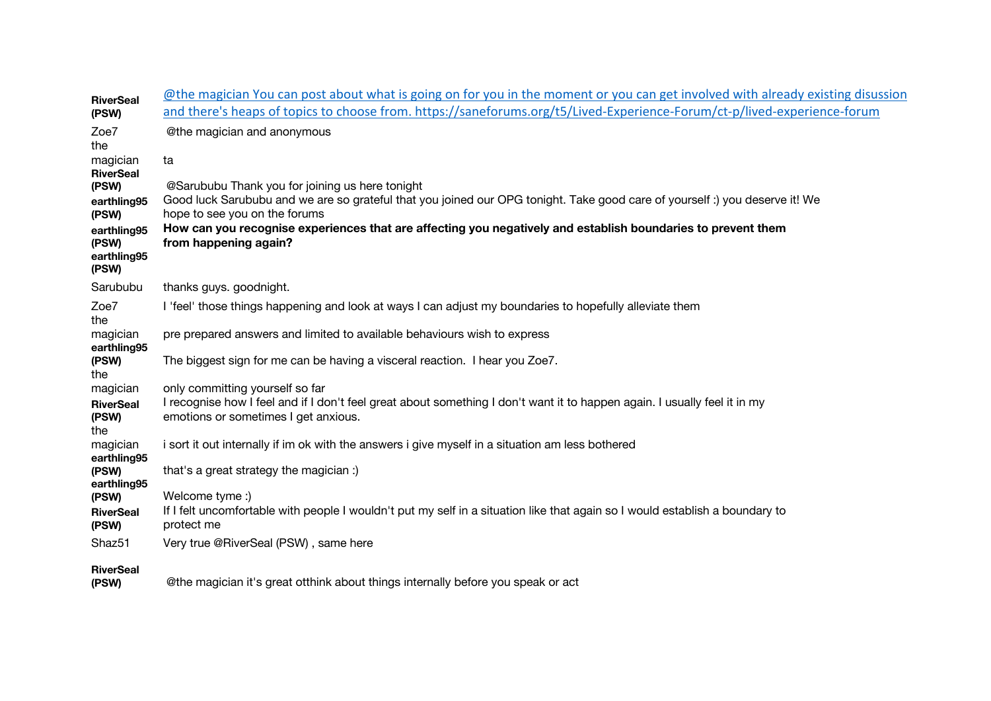| <b>RiverSeal</b>                             | @the magician You can post about what is going on for you in the moment or you can get involved with already existing disussion                                   |
|----------------------------------------------|-------------------------------------------------------------------------------------------------------------------------------------------------------------------|
| (PSW)                                        | and there's heaps of topics to choose from. https://saneforums.org/t5/Lived-Experience-Forum/ct-p/lived-experience-forum                                          |
| Zoe7<br>the                                  | @the magician and anonymous                                                                                                                                       |
| magician<br><b>RiverSeal</b>                 | ta                                                                                                                                                                |
| (PSW)                                        | @Sarububu Thank you for joining us here tonight                                                                                                                   |
| earthling95                                  | Good luck Sarububu and we are so grateful that you joined our OPG tonight. Take good care of yourself :) you deserve it! We                                       |
| (PSW)                                        | hope to see you on the forums                                                                                                                                     |
| earthling95<br>(PSW)<br>earthling95<br>(PSW) | How can you recognise experiences that are affecting you negatively and establish boundaries to prevent them<br>from happening again?                             |
| Sarububu                                     | thanks guys. goodnight.                                                                                                                                           |
|                                              |                                                                                                                                                                   |
| Zoe7<br>the                                  | I 'feel' those things happening and look at ways I can adjust my boundaries to hopefully alleviate them                                                           |
| magician<br>earthling95                      | pre prepared answers and limited to available behaviours wish to express                                                                                          |
| (PSW)<br>the                                 | The biggest sign for me can be having a visceral reaction. I hear you Zoe7.                                                                                       |
| magician                                     | only committing yourself so far                                                                                                                                   |
| <b>RiverSeal</b><br>(PSW)<br>the             | I recognise how I feel and if I don't feel great about something I don't want it to happen again. I usually feel it in my<br>emotions or sometimes I get anxious. |
| magician<br>earthling95                      | i sort it out internally if im ok with the answers i give myself in a situation am less bothered                                                                  |
| (PSW)<br>earthling95                         | that's a great strategy the magician :)                                                                                                                           |
| (PSW)                                        | Welcome tyme :)                                                                                                                                                   |
| <b>RiverSeal</b><br>(PSW)                    | If I felt uncomfortable with people I wouldn't put my self in a situation like that again so I would establish a boundary to<br>protect me                        |
| Shaz51                                       | Very true @RiverSeal (PSW), same here                                                                                                                             |
| <b>RiverSeal</b><br>(PSW)                    | @the magician it's great otthink about things internally before you speak or act                                                                                  |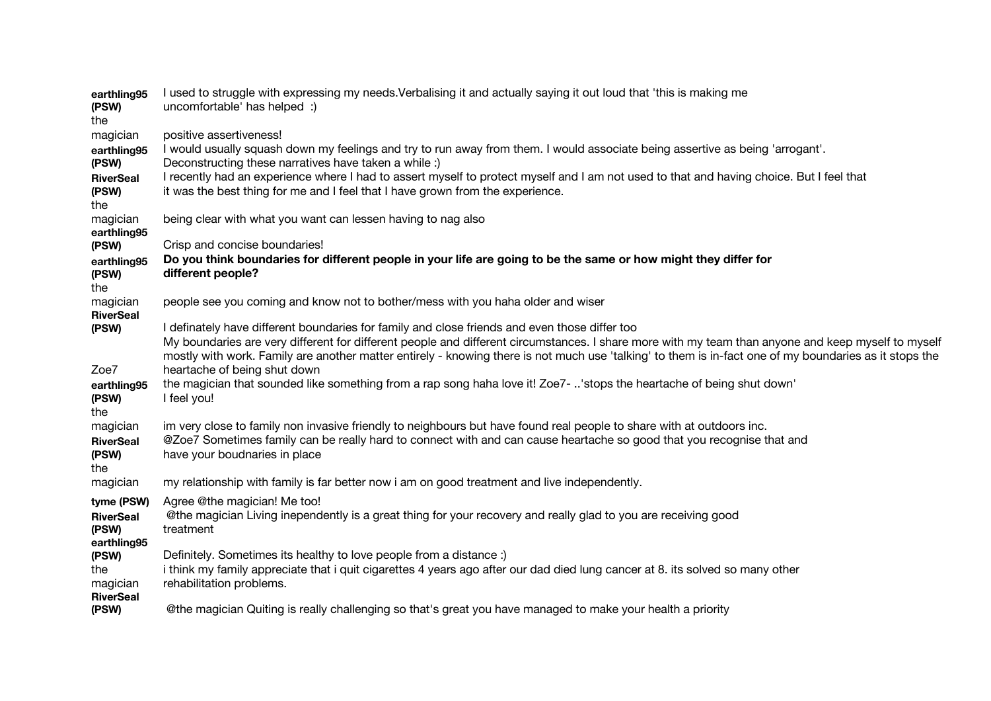| earthling95<br>(PSW)<br>the                  | I used to struggle with expressing my needs. Verbalising it and actually saying it out loud that 'this is making me<br>uncomfortable' has helped :)                                                                                                                                                                                                                                                           |
|----------------------------------------------|---------------------------------------------------------------------------------------------------------------------------------------------------------------------------------------------------------------------------------------------------------------------------------------------------------------------------------------------------------------------------------------------------------------|
| magician                                     | positive assertiveness!                                                                                                                                                                                                                                                                                                                                                                                       |
| earthling95<br>(PSW)                         | I would usually squash down my feelings and try to run away from them. I would associate being assertive as being 'arrogant'.<br>Deconstructing these narratives have taken a while :)                                                                                                                                                                                                                        |
| <b>RiverSeal</b><br>(PSW)                    | I recently had an experience where I had to assert myself to protect myself and I am not used to that and having choice. But I feel that<br>it was the best thing for me and I feel that I have grown from the experience.                                                                                                                                                                                    |
| the                                          |                                                                                                                                                                                                                                                                                                                                                                                                               |
| magician<br>earthling95                      | being clear with what you want can lessen having to nag also                                                                                                                                                                                                                                                                                                                                                  |
| (PSW)                                        | Crisp and concise boundaries!                                                                                                                                                                                                                                                                                                                                                                                 |
| earthling95<br>(PSW)<br>the                  | Do you think boundaries for different people in your life are going to be the same or how might they differ for<br>different people?                                                                                                                                                                                                                                                                          |
| magician<br><b>RiverSeal</b>                 | people see you coming and know not to bother/mess with you haha older and wiser                                                                                                                                                                                                                                                                                                                               |
| (PSW)                                        | I definately have different boundaries for family and close friends and even those differ too<br>My boundaries are very different for different people and different circumstances. I share more with my team than anyone and keep myself to myself<br>mostly with work. Family are another matter entirely - knowing there is not much use 'talking' to them is in-fact one of my boundaries as it stops the |
| Zoe7                                         | heartache of being shut down                                                                                                                                                                                                                                                                                                                                                                                  |
| earthling95<br>(PSW)                         | the magician that sounded like something from a rap song haha love it! Zoe7- 'stops the heartache of being shut down'<br>I feel you!                                                                                                                                                                                                                                                                          |
| the                                          |                                                                                                                                                                                                                                                                                                                                                                                                               |
| magician<br><b>RiverSeal</b><br>(PSW)<br>the | im very close to family non invasive friendly to neighbours but have found real people to share with at outdoors inc.<br>@Zoe7 Sometimes family can be really hard to connect with and can cause heartache so good that you recognise that and<br>have your boudnaries in place                                                                                                                               |
| magician                                     | my relationship with family is far better now i am on good treatment and live independently.                                                                                                                                                                                                                                                                                                                  |
| tyme (PSW)                                   | Agree @the magician! Me too!                                                                                                                                                                                                                                                                                                                                                                                  |
| <b>RiverSeal</b><br>(PSW)                    | @the magician Living inependently is a great thing for your recovery and really glad to you are receiving good<br>treatment                                                                                                                                                                                                                                                                                   |
| earthling95                                  |                                                                                                                                                                                                                                                                                                                                                                                                               |
| (PSW)<br>the                                 | Definitely. Sometimes its healthy to love people from a distance :)<br>i think my family appreciate that i quit cigarettes 4 years ago after our dad died lung cancer at 8. its solved so many other                                                                                                                                                                                                          |
| magician<br><b>RiverSeal</b>                 | rehabilitation problems.                                                                                                                                                                                                                                                                                                                                                                                      |
| (PSW)                                        | @the magician Quiting is really challenging so that's great you have managed to make your health a priority                                                                                                                                                                                                                                                                                                   |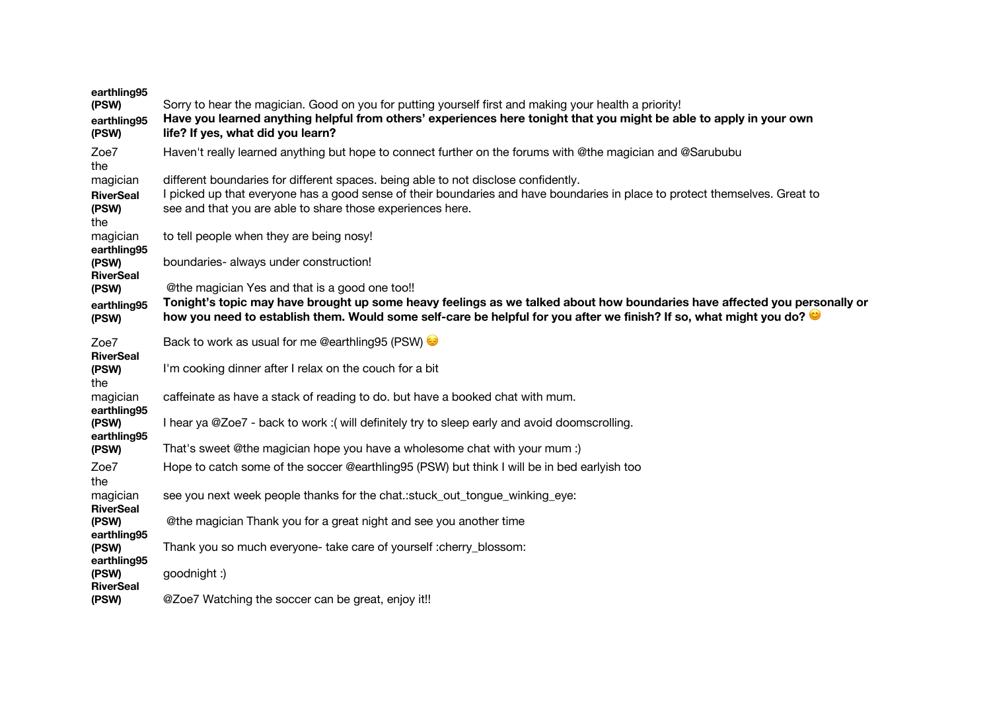| earthling95<br>(PSW)<br>earthling95<br>(PSW) | Sorry to hear the magician. Good on you for putting yourself first and making your health a priority!<br>Have you learned anything helpful from others' experiences here tonight that you might be able to apply in your own<br>life? If yes, what did you learn?                                 |
|----------------------------------------------|---------------------------------------------------------------------------------------------------------------------------------------------------------------------------------------------------------------------------------------------------------------------------------------------------|
| Zoe7<br>the                                  | Haven't really learned anything but hope to connect further on the forums with @the magician and @Sarububu                                                                                                                                                                                        |
| magician<br><b>RiverSeal</b><br>(PSW)<br>the | different boundaries for different spaces. being able to not disclose confidently.<br>I picked up that everyone has a good sense of their boundaries and have boundaries in place to protect themselves. Great to<br>see and that you are able to share those experiences here.                   |
| magician<br>earthling95                      | to tell people when they are being nosy!                                                                                                                                                                                                                                                          |
| (PSW)<br><b>RiverSeal</b>                    | boundaries- always under construction!                                                                                                                                                                                                                                                            |
| (PSW)<br>earthling95<br>(PSW)                | @the magician Yes and that is a good one too!!<br>Tonight's topic may have brought up some heavy feelings as we talked about how boundaries have affected you personally or<br>how you need to establish them. Would some self-care be helpful for you after we finish? If so, what might you do? |
| Zoe7<br><b>RiverSeal</b>                     | Back to work as usual for me @earthling95 (PSW)                                                                                                                                                                                                                                                   |
| (PSW)<br>the                                 | I'm cooking dinner after I relax on the couch for a bit                                                                                                                                                                                                                                           |
| magician<br>earthling95                      | caffeinate as have a stack of reading to do. but have a booked chat with mum.                                                                                                                                                                                                                     |
| (PSW)<br>earthling95                         | I hear ya @Zoe7 - back to work :( will definitely try to sleep early and avoid doomscrolling.                                                                                                                                                                                                     |
| (PSW)                                        | That's sweet @the magician hope you have a wholesome chat with your mum :)                                                                                                                                                                                                                        |
| Zoe7<br>the                                  | Hope to catch some of the soccer @earthling95 (PSW) but think I will be in bed earlyish too                                                                                                                                                                                                       |
| magician<br><b>RiverSeal</b>                 | see you next week people thanks for the chat.:stuck_out_tongue_winking_eye:                                                                                                                                                                                                                       |
| (PSW)<br>earthling95                         | @the magician Thank you for a great night and see you another time                                                                                                                                                                                                                                |
| (PSW)                                        | Thank you so much everyone- take care of yourself : cherry_blossom:                                                                                                                                                                                                                               |
| earthling95<br>(PSW)<br><b>RiverSeal</b>     | goodnight :)                                                                                                                                                                                                                                                                                      |
| (PSW)                                        | @Zoe7 Watching the soccer can be great, enjoy it!!                                                                                                                                                                                                                                                |